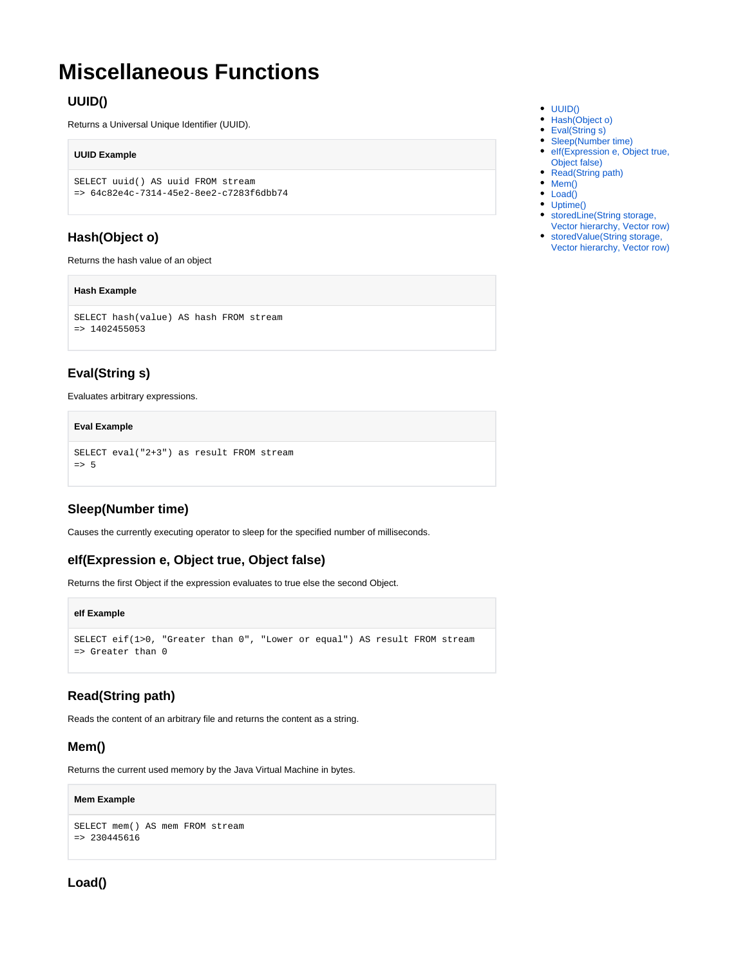# <span id="page-0-0"></span>**Miscellaneous Functions**

# **UUID()**

Returns a Universal Unique Identifier (UUID).

#### **UUID Example**

```
SELECT uuid() AS uuid FROM stream
=> 64c82e4c-7314-45e2-8ee2-c7283f6dbb74
```
# <span id="page-0-1"></span>**Hash(Object o)**

Returns the hash value of an object

#### **Hash Example**

```
SELECT hash(value) AS hash FROM stream
= > 1402455053
```
# <span id="page-0-2"></span>**Eval(String s)**

Evaluates arbitrary expressions.

#### **Eval Example**

```
SELECT eval("2+3") as result FROM stream
\Rightarrow 5
```
# <span id="page-0-3"></span>**Sleep(Number time)**

Causes the currently executing operator to sleep for the specified number of milliseconds.

## <span id="page-0-4"></span>**eIf(Expression e, Object true, Object false)**

Returns the first Object if the expression evaluates to true else the second Object.

#### **eIf Example**

```
SELECT eif(1>0, "Greater than 0", "Lower or equal") AS result FROM stream
=> Greater than 0
```
## <span id="page-0-5"></span>**Read(String path)**

Reads the content of an arbitrary file and returns the content as a string.

### <span id="page-0-6"></span>**Mem()**

Returns the current used memory by the Java Virtual Machine in bytes.

#### **Mem Example**

```
SELECT mem() AS mem FROM stream
=> 230445616
```
# <span id="page-0-7"></span>**Load()**

- $\bullet$  [UUID\(\)](#page-0-0)
- [Hash\(Object o\)](#page-0-1)
- [Eval\(String s\)](#page-0-2)
- [Sleep\(Number time\)](#page-0-3) • elf(Expression e, Object true,
- [Object false\)](#page-0-4)
- [Read\(String path\)](#page-0-5)
- $•$  [Mem\(\)](#page-0-6)
- [Load\(\)](#page-0-7)
- [Uptime\(\)](#page-1-0)
- [storedLine\(String storage,](#page-1-1)  [Vector hierarchy, Vector row\)](#page-1-1)
- [storedValue\(String storage,](#page-1-2)  [Vector hierarchy, Vector row\)](#page-1-2)